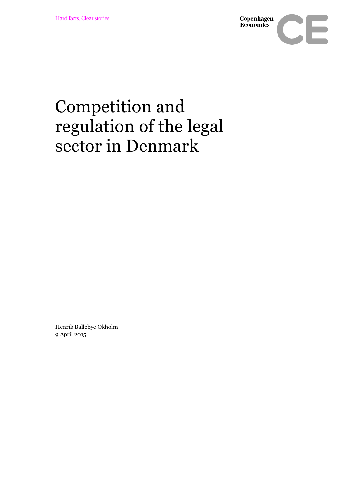

## Competition and regulation of the legal sector in Denmark

Henrik Ballebye Okholm 9 April 2015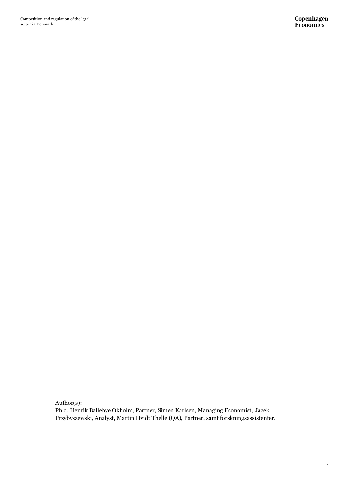Competition and regulation of the legal sector in Denmark

Author(s):

Ph.d. Henrik Ballebye Okholm, Partner, Simen Karlsen, Managing Economist, Jacek Przybyszewski, Analyst, Martin Hvidt Thelle (QA), Partner, samt forskningsassistenter.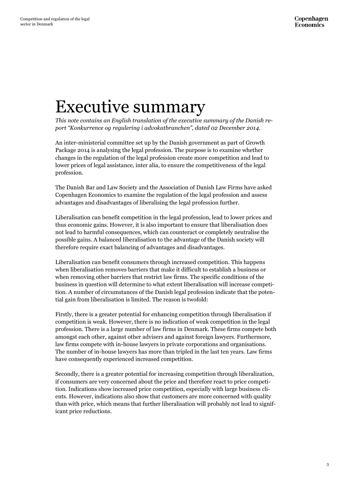## Executive summary

*This note contains an English translation of the executive summary of the Danish report "Konkurrence og regulering i advokatbranchen", dated 02 December 2014.* 

An inter-ministerial committee set up by the Danish government as part of Growth Package 2014 is analysing the legal profession. The purpose is to examine whether changes in the regulation of the legal profession create more competition and lead to lower prices of legal assistance, inter alia, to ensure the competitiveness of the legal profession.

The Danish Bar and Law Society and the Association of Danish Law Firms have asked Copenhagen Economics to examine the regulation of the legal profession and assess advantages and disadvantages of liberalising the legal profession further.

Liberalisation can benefit competition in the legal profession, lead to lower prices and thus economic gains. However, it is also important to ensure that liberalisation does not lead to harmful consequences, which can counteract or completely neutralise the possible gains. A balanced liberalisation to the advantage of the Danish society will therefore require exact balancing of advantages and disadvantages.

Liberalisation can benefit consumers through increased competition. This happens when liberalisation removes barriers that make it difficult to establish a business or when removing other barriers that restrict law firms. The specific conditions of the business in question will determine to what extent liberalisation will increase competition. A number of circumstances of the Danish legal profession indicate that the potential gain from liberalisation is limited. The reason is twofold:

Firstly, there is a greater potential for enhancing competition through liberalisation if competition is weak. However, there is no indication of weak competition in the legal profession. There is a large number of law firms in Denmark. These firms compete both amongst each other, against other advisers and against foreign lawyers. Furthermore, law firms compete with in-house lawyers in private corporations and organisations. The number of in-house lawyers has more than tripled in the last ten years. Law firms have consequently experienced increased competition.

Secondly, there is a greater potential for increasing competition through liberalization, if consumers are very concerned about the price and therefore react to price competition. Indications show increased price competition, especially with large business clients. However, indications also show that customers are more concerned with quality than with price, which means that further liberalisation will probably not lead to significant price reductions.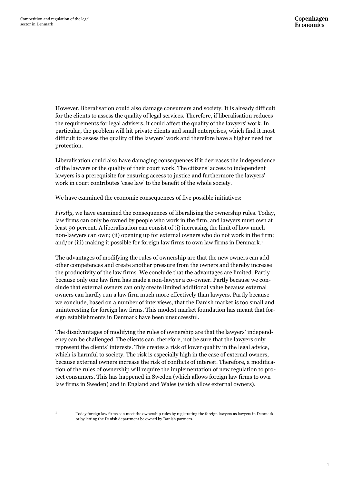However, liberalisation could also damage consumers and society. It is already difficult for the clients to assess the quality of legal services. Therefore, if liberalisation reduces the requirements for legal advisers, it could affect the quality of the lawyers' work. In particular, the problem will hit private clients and small enterprises, which find it most difficult to assess the quality of the lawyers' work and therefore have a higher need for protection.

Liberalisation could also have damaging consequences if it decreases the independence of the lawyers or the quality of their court work. The citizens' access to independent lawyers is a prerequisite for ensuring access to justice and furthermore the lawyers' work in court contributes 'case law' to the benefit of the whole society.

We have examined the economic consequences of five possible initiatives:

*Firstly,* we have examined the consequences of liberalising the ownership rules. Today, law firms can only be owned by people who work in the firm, and lawyers must own at least 90 percent. A liberalisation can consist of (i) increasing the limit of how much non-lawyers can own; (ii) opening up for external owners who do not work in the firm; and/or (iii) making it possible for foreign law firms to own law firms in Denmark.<sup>1</sup>

The advantages of modifying the rules of ownership are that the new owners can add other competences and create another pressure from the owners and thereby increase the productivity of the law firms. We conclude that the advantages are limited. Partly because only one law firm has made a non-lawyer a co-owner. Partly because we conclude that external owners can only create limited additional value because external owners can hardly run a law firm much more effectively than lawyers. Partly because we conclude, based on a number of interviews, that the Danish market is too small and uninteresting for foreign law firms. This modest market foundation has meant that foreign establishments in Denmark have been unsuccessful.

The disadvantages of modifying the rules of ownership are that the lawyers' independency can be challenged. The clients can, therefore, not be sure that the lawyers only represent the clients' interests. This creates a risk of lower quality in the legal advice, which is harmful to society. The risk is especially high in the case of external owners, because external owners increase the risk of conflicts of interest. Therefore, a modification of the rules of ownership will require the implementation of new regulation to protect consumers. This has happened in Sweden (which allows foreign law firms to own law firms in Sweden) and in England and Wales (which allow external owners).

 $\mathbf{1}$ 

<sup>1</sup> Today foreign law firms can meet the ownership rules by registrating the foreign lawyers as lawyers in Denmark or by letting the Danish department be owned by Danish partners.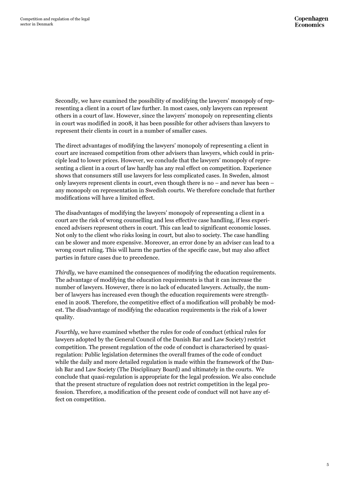Secondly, we have examined the possibility of modifying the lawyers' monopoly of representing a client in a court of law further. In most cases, only lawyers can represent others in a court of law. However, since the lawyers' monopoly on representing clients in court was modified in 2008, it has been possible for other advisers than lawyers to represent their clients in court in a number of smaller cases.

The direct advantages of modifying the lawyers' monopoly of representing a client in court are increased competition from other advisers than lawyers, which could in principle lead to lower prices. However, we conclude that the lawyers' monopoly of representing a client in a court of law hardly has any real effect on competition. Experience shows that consumers still use lawyers for less complicated cases. In Sweden, almost only lawyers represent clients in court, even though there is no – and never has been – any monopoly on representation in Swedish courts. We therefore conclude that further modifications will have a limited effect.

The disadvantages of modifying the lawyers' monopoly of representing a client in a court are the risk of wrong counselling and less effective case handling, if less experienced advisers represent others in court. This can lead to significant economic losses. Not only to the client who risks losing in court, but also to society. The case handling can be slower and more expensive. Moreover, an error done by an adviser can lead to a wrong court ruling. This will harm the parties of the specific case, but may also affect parties in future cases due to precedence.

*Thirdly,* we have examined the consequences of modifying the education requirements. The advantage of modifying the education requirements is that it can increase the number of lawyers. However, there is no lack of educated lawyers. Actually, the number of lawyers has increased even though the education requirements were strengthened in 2008. Therefore, the competitive effect of a modification will probably be modest. The disadvantage of modifying the education requirements is the risk of a lower quality.

*Fourthly*, we have examined whether the rules for code of conduct (ethical rules for lawyers adopted by the General Council of the Danish Bar and Law Society) restrict competition. The present regulation of the code of conduct is characterised by quasiregulation: Public legislation determines the overall frames of the code of conduct while the daily and more detailed regulation is made within the framework of the Danish Bar and Law Society (The Disciplinary Board) and ultimately in the courts. We conclude that quasi-regulation is appropriate for the legal profession. We also conclude that the present structure of regulation does not restrict competition in the legal profession. Therefore, a modification of the present code of conduct will not have any effect on competition.